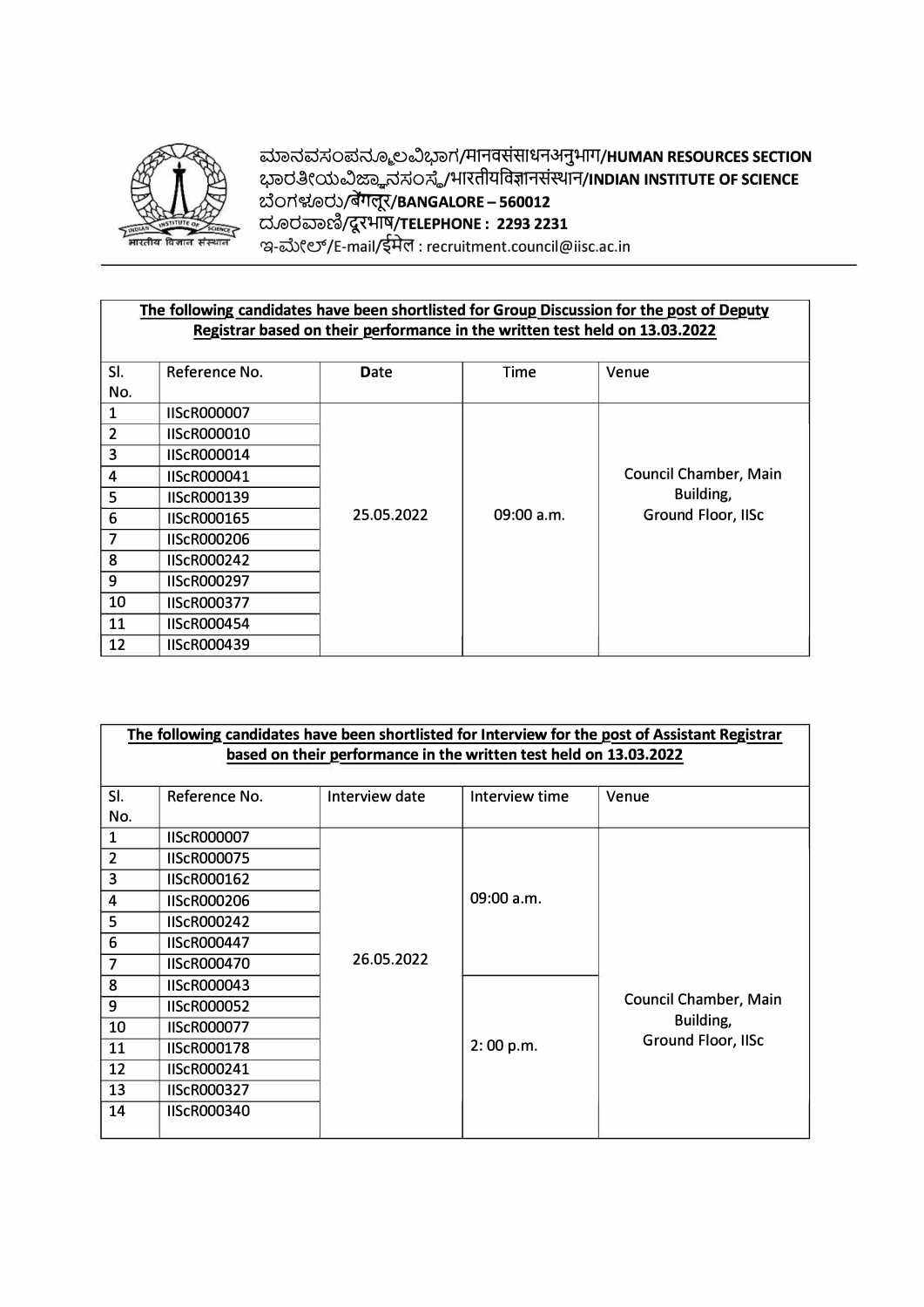

ಮಾನವಸಂಪನ್ಮೂಲವಿಭಾಗ/मानवससाधनअनुभाग/**HUMAN RESOURCES SECTION** ಭಾರತೀಯವಿಜ್ಞಾನಸಂಸ್ಥೆ/भारतीयविज्ञानसस्थान/INDIAN INSTITUTE OF SCIENCE **2.JOT\�Je>d,)�/BANGALORE** - **560012 dJe>dwc>��/TELEPHONE** : **2293 2231**  ಇ-ಮೇಲ್/E-mail/ইৰ্मল : recruitment.council@iisc.ac.in

## The following candidates have been shortlisted for Group Discussion for the post of Deputy **Registrar based on their �erformance in the written test held on 13.03.2022**

| SI.            | Reference No.      | <b>Date</b> | Time         | Venue                        |
|----------------|--------------------|-------------|--------------|------------------------------|
| No.            |                    |             |              |                              |
|                | <b>IIScR000007</b> |             |              |                              |
| $\overline{2}$ | <b>IIScR000010</b> |             |              |                              |
| 3              | <b>IIScR000014</b> |             |              |                              |
| 4              | <b>IIScR000041</b> |             |              | <b>Council Chamber, Main</b> |
| 5              | <b>IIScR000139</b> |             |              | Building,                    |
| 6              | <b>IIScR000165</b> | 25.05.2022  | $09:00$ a.m. | Ground Floor, IISc           |
| 7              | <b>IISCR000206</b> |             |              |                              |
| 8              | <b>IIScR000242</b> |             |              |                              |
| 9              | <b>IIScR000297</b> |             |              |                              |
| 10             | <b>IIScR000377</b> |             |              |                              |
| 11             | <b>IIScR000454</b> |             |              |                              |
| 12             | <b>IIScR000439</b> |             |              |                              |

| The following candidates have been shortlisted for Interview for the post of Assistant Registrar |                    |                |                |                              |  |  |
|--------------------------------------------------------------------------------------------------|--------------------|----------------|----------------|------------------------------|--|--|
| based on their performance in the written test held on 13.03.2022                                |                    |                |                |                              |  |  |
|                                                                                                  |                    |                |                |                              |  |  |
| SI.                                                                                              | Reference No.      | Interview date | Interview time | Venue                        |  |  |
| No.                                                                                              |                    |                |                |                              |  |  |
| 1                                                                                                | <b>IIScR000007</b> |                |                |                              |  |  |
| $\overline{2}$                                                                                   | <b>IIScR000075</b> |                |                |                              |  |  |
| 3                                                                                                | <b>IIScR000162</b> |                |                |                              |  |  |
| 4                                                                                                | <b>IIScR000206</b> |                | 09:00 a.m.     |                              |  |  |
| 5                                                                                                | <b>IIScR000242</b> |                |                |                              |  |  |
| 6                                                                                                | <b>IIScR000447</b> |                |                |                              |  |  |
| 7                                                                                                | <b>IIScR000470</b> | 26.05.2022     |                |                              |  |  |
| 8                                                                                                | <b>IIScR000043</b> |                |                |                              |  |  |
| 9                                                                                                | <b>IIScR000052</b> |                |                | <b>Council Chamber, Main</b> |  |  |
| 10                                                                                               | <b>IIScR000077</b> |                |                | Building,                    |  |  |
| 11                                                                                               | <b>IIScR000178</b> |                | 2:00 p.m.      | Ground Floor, IISc           |  |  |
| 12                                                                                               | <b>IIScR000241</b> |                |                |                              |  |  |
| 13                                                                                               | <b>IIScR000327</b> |                |                |                              |  |  |
| 14                                                                                               | <b>IIScR000340</b> |                |                |                              |  |  |